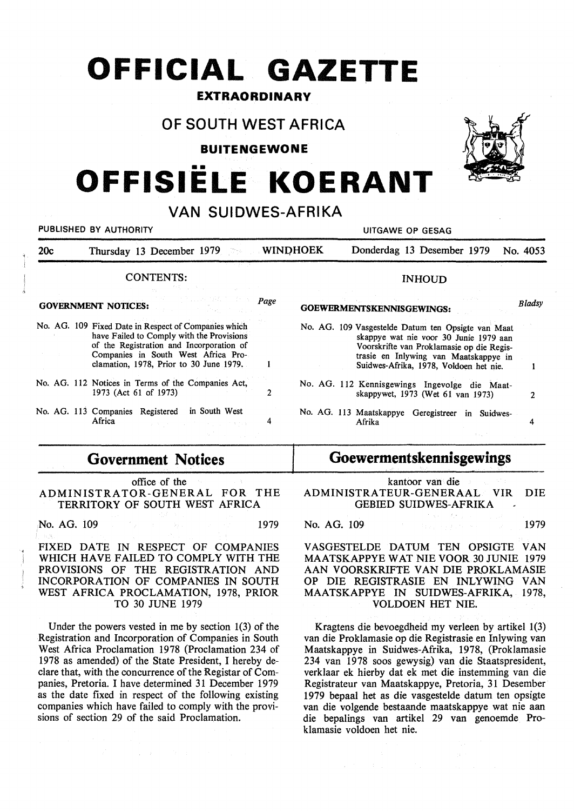# **OFFICIAL GAZETTE**

### **EXTRAORDINARY**

## **OF SOUTH WEST AFRICA**

**BUITENGEWONE** 

# •• **OFFISIELE KOERANT**

#### **VAN SUIDWES-AFRIKA**  PUBLISHED BY AUTHORITY **NAMEL SEE ASSESS** UITGAWE OP GESAG 20c Thursday 13 December 1979 No. WINDHOEK Donderdag 13 Desember 1979 No. 4053 CONTENTS: INHOUD Page *Bladsy*  **GOVERNMENT NOTICES: GOEWERMENTSKENNISGEWINGS:**  No. AG. 109 Fixed Date in Respect of Companies which No. AG. 109 Vasgestelde Datum ten Opsigte van Maat have Failed to Comply with the Provisions skappye wat nie voor 30 Junie 1979 aan of the Registration and Incorporation of Voorskrifte van Proklamasie op die Regis-Companies in South West Africa Protrasie en lnlywing van Maatskappye in clamation, 1978, Prior to 30 June 1979.  $\mathbf{1}$ Suidwes-Mrika, 1978, Voldoen bet nie.  $\mathbf{1}$ No. AG. 112 Notices in Terms of the Companies Act, No. AG. 112 Kennisgewings Ingevolge die Maat-1973 (Act 61 of 1973) 2 skappywet, 1973 (Wet 61 van 1973) 2 No. AG. 113 Companies Registered in South West No. AG. 113 Maatskappye Geregistreer in Suidwes-Africa 4 Afrika **4**

# **Government Notices**

office of the

ADMINISTRATOR-GENERAL FOR THE TERRITORY OF SOUTH WEST AFRICA

No. AG. 109 1979

FIXED DATE IN RESPECT OF COMPANIES WHICH HAVE FAILED TO COMPLY WITH THE PROVISIONS OF THE REGISTRATION AND INCORPORATION OF COMPANIES IN SOUTH WEST AFRICA PROCLAMATION, 1978, PRIOR TO 30 JUNE 1979

Under the powers vested in me by section 1(3) of the Registration and Incorporation of Companies in South West Africa Proclamation 1978 (Proclamation 234 of 1978 as amended) of the State President, I hereby declare that, with the concurrence of the Registar of Companies, Pretoria. I have determined 31 December 1979 as the date fixed in respect of the following existing companies which have failed to comply with the provisions of section 29 of the said Proclamation.

### **Goewermentskennisgewings**

kantoor van die **ADMINISTRATEUR-GENERAAL VIR** DIE GEBIED **SUIDWES-AFRIKA** 

No. AG. 109 1979

 $\chi_{\rm c} = 2$ 

V ASGESTELDE DATUM TEN OPSIGTE VAN MAATSKAPPYE WAT NIE VOOR 30 JUNIE 1979 AAN VOORSKRIFTE VAN DIE PROKLAMASIE OP DIE REGISTRASIE EN INLYWING VAN MAATSKAPPYE IN SUIDWES-AFRIKA, 1978, VOLDOEN HET NIE.

Kragtens die bevoegdheid my verleen by artikel 1(3) van die Proklamasie op die Registrasie en Inlywing van Maatskappye in Suidwes-Afrika, 1978, (Proklamasie 234 van 1978 soos gewysig) van die Staatspresident, verklaar ek hierby dat ek met die instemming van die Registrateur van Maatskappye, Pretoria, 31 Desember 1979 bepaal bet as die vasgestelde datum ten opsigte van die volgende bestaande maatskappye wat nie aan die bepalings van artikel 29 van genoemde Proklamasie voldoen het nie.

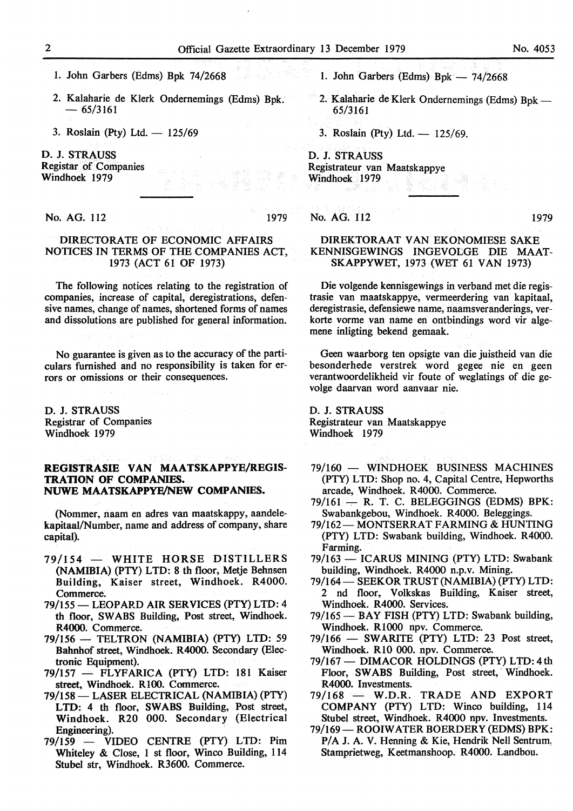- 1. John Garbers (Edms) Bpk 74/2668
- 2. Kalaharie de Klerk Ondernemings (Edms) Bpk.  $- 65/3161$
- 3. Roslain (Pty) Ltd.  $125/69$

**D. J. STRAUSS**  Registar of Companies **Windhoek** 1979

No. AG. 112 1979

#### **DIRECTORATE** OF **ECONOMIC AFFAIRS NOTICES IN TERMS** OF THE **COMPANIES** ACT, 1973 (ACT 61 OF 1973)

The following notices relating to the registration of companies, increase of capital, deregistrations, defensive names, change of names, shortened forms of names and dissolutions are published for general information.

No guarantee is given as to the accuracy of the particulars furnished and no responsibility is taken for errors or omissions or their consequences.

**D. J. STRAUSS**  Registrar of Companies Windhoek 1979

#### **REGISTRASIE VAN MAATSKAPPYE/REGIS-TRATION OF COMPANIES. NUWE MAATSKAPPYF/NEW COMPANIES.**

(Nommer, naam en adres van maatskappy, aandelekapitaal/Number, name and address of company, share capital).

- $79/154$  WHITE HORSE DISTILLERS **(NAMIBIA)** (PTY) LTD: 8 th floor, Metje Behnsen Building, Kaiser street, Windhoek. R4000. Commerce.
- 79/155- LEOPARD AIR SERVICES (PTY) LTD: 4 th floor, SW ABS Building, Post street, Windhoek. R4000. Commerce.
- 79/156 TELTRON (NAMIBIA) (PTY) LTD: *59*  Bahnhof street, Windhoek. R4000. Secondary (Electronic Equipment).
- 79/157 FLYFARICA (PTY) LTD: 181 Kaiser street, Windhoek. RIOO. Commerce.
- 79/158- LASER ELECTRICAL (NAMIBIA) (PTY) LTD: 4 th floor, SWABS Building, Post street, Windhoek. R20 000. Secondary (Electrical Engineering).
- 79/159 VIDEO CENTRE (PTY) LTD: Pim Whiteley & Close, 1 st floor, Winco Building, 114 Stubel str, Windhoek. R3600. Commerce.
- 1. John Garbers (Edms)  $Bpk 74/2668$
- 2. Kalaharie de Klerk Ondernemings (Edms) Bpk 65/3161

3. Roslain (Ptv) Ltd.  $- 125/69$ .

D. **J. STRAUSS**  Registrateur van Maatskappye Windhoek 1979

No. AG. 112 1979

#### DIREKTORAAT VAN EKONOMIESE SAKE KENNISGEWINGS INGEVOLGE DIE MAAT-SKAPPYWET, 1973 (WET 61 VAN 1973)

Die volgende kennisgewings in verband met die registrasie van maatskappye, vermeerdering van kapitaal, deregistrasie, defensiewe name, naamsveranderings, verkorte vorme van name en ontbindings word vir algemene inligting bekend gemaak.

Geen waarborg ten opsigte van die juistheid van die besonderhede verstrek word gegee nie en geen verantwoordelikheid vir foute of weglatings of die gevolge daarvan word aanvaar nie.

D. **J. STRAUSS**  Registrateur van Maatskappye Windhoek 1979

- 79/160 WINDHOEK BUSINESS MACHINES (PTY) LTD: Shop no. 4, Capital Centre, Hepworths arcade, Windhoek. R4000. Commerce.
- $79/161 R$ . T. C. BELEGGINGS (EDMS) BPK: Swabankgebou, Windhoek. R4000. Beleggings.
- 79/162- MONTSERRAT FARMING & HUNTING (PTY) LTD: Swabank building, Windhoek. R4000. Farming.
- 79/163 ICARUS MINING (PTY) LTD: Swabank building, Windhoek. R4000 n.p.v. Mining.
- 79/164 SEEKOR TRUST (NAMIBIA) (PTY) LTD: 2 nd floor, Volkskas Building, Kaiser street, Windhoek. R4000. Services.
- 79/165 BAY FISH (PTY) LTD: Swabank building, Windhoek. R1000 npv. Commerce.
- 79/166 SWARITE (PTY) LTD: 23 Post street, Windhoek. RIO 000. npv. Commerce.
- 79/167 DIMACOR HOLDINGS (PTY) LTD: 4th Floor, SWABS Building, Post street, Windhoek. R4000. Investments.
- 79/168 W.D.R. TRADE AND EXPORT COMPANY (PTY) LTD: Winco building, 114 Stubel street, Windhoek. R4000 npv. Investments.
- 79/169- ROOIW ATER BOERDERY (EDMS) BPK: *PIA* J. A. V. Henning & Kie, Hendrik Nell Sentrum, Stamprietweg, Keetmanshoop. R4000. Landbou.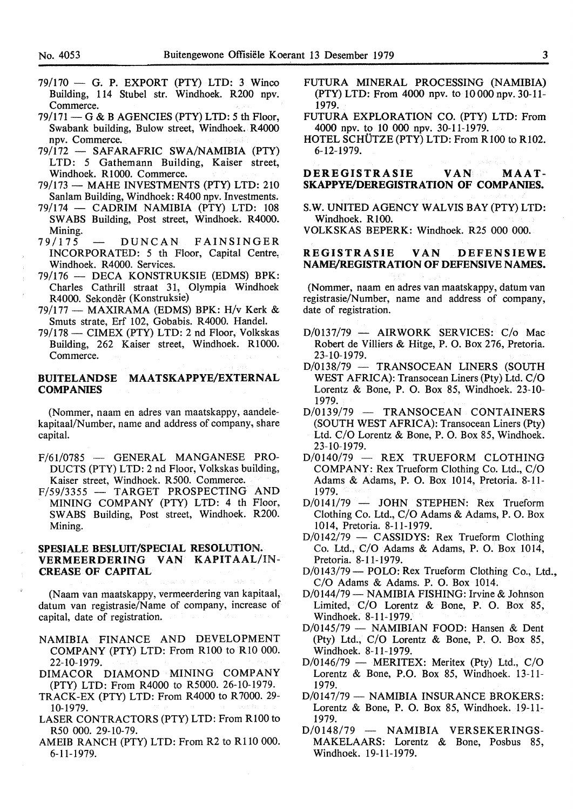- $79/170$  G. P. EXPORT (PTY) LTD: 3 Winco Building, 114 Stubel str. Windhoek. R200 npv. Commerce.
- $79/171 G$  & B AGENCIES (PTY) LTD: 5 th Floor, Swabank building, Bulow street, Windhoek. R4000 npv. Commerce.
- 79/172 SAFARAFRIC SWA/NAMIBIA (PTY) LTD: 5 Gathemann Building, Kaiser street, Windhoek. R1000. Commerce.
- 79/173 MAHE INVESTMENTS (PTY) LTD: 210 Sanlam Building, Windhoek: R400 npv. Investments.
- $79/174$  CADRIM NAMIBIA (PTY) LTD: 108 SW ABS Building, Post street, Windhoek. R4000. Mining.<br> $79/175$
- DUNCAN FAINSINGER INCORPORATED: 5 th Floor, Capital Centre, Windhoek. R4000. Services.
- 79/176 DECA KONSTRUKSIE (EDMS) BPK: Charles Cathrill straat 31, Olympia Windhoek R4000. Sekonder (Konstruksie)
- $79/177$  MAXIRAMA (EDMS) BPK: H/v Kerk & Smuts strate, Erf 102, Gobabis. R4000. Handel.
- 79/178 CIMEX (PTY) LTD: 2 nd Floor, Volkskas Building, 262 Kaiser street, Windhoek. R1000. Commerce.

#### **BUITELANDSE MAATSKAPPYE/EXTERNAL COMPANIES**

(Nommer, naam en adres van maatskappy, aandelekapitaal/Number, name and address of company, share capital.

- $F/61/0785$  GENERAL MANGANESE PRO-DUCTS (PTY) LTD: 2nd Floor, Volkskas building, Kaiser street, Windhoek. R500. Commerce.
- $F/59/3355$  TARGET PROSPECTING AND MINING COMPANY (PTY) LTD: 4 th Floor, SW ABS Building, Post street, Windhoek. R200. Mining.

#### SPESIALE BESLUIT/SPECIAL RESOLUTION. VERMEERDERING VAN KAPITAAL/IN-**CREASE OF CAPITAL**

(Naam van maatskappy, vermeerdering van kapitaal, datum van registrasie/Name of company, increase of capital, date of registration.

- NAMIBIA FINANCE AND DEVELOPMENT COMPANY (PTY) LTD: From RlOO to RIO 000. 22-10-1979.
- DIMACOR DIAMOND MINING COMPANY (PTY) LTD: From R4000 to R5000. 26-10-1979.
- TRACK-EX (PTY) LTD: From R4000 to R7000. 29- 10-1979.
- LASER CONTRACTORS (PTY) LTD: From Rl00 to R50 000. 29-10-79.
- AMEIB RANCH (PTY) LTD: From R2 to Rl 10 000. 6-11-1979.
- FUTURA MINERAL PROCESSING (NAMIBIA) (PTY) LTD: From  $4000$  npv. to  $10000$  npv.  $30-11-$ 1979.
- FUTURA EXPLORATION CO. (PTY) LTD: From 4000 npv. to 10 000 npv. 30-11-1979.
- HOTEL SCHÜTZE (PTY) LTD: From R100 to R102. 6-12-1979.

#### **DEREGISTRASIE VAN MAAT-SKAPPYE/DEREGISTRATION OF COMPANIES.**

S.W. UNITED AGENCY WALVIS BAY (PTY) LTD: Windhoek. R100.

VOLKSKAS BEPERK: Windhoek. R25 000 000.

#### **REGISTRASIE VAN DEFENSIEWE NAME/REGISTRATION OF DEFENSIVE NAMES.**

(Nommer, naam en adres van maatskappy, datum van registrasie/Number, name and address of company, date of registration.

- $D/0137/79$  AIRWORK SERVICES: C/o Mac Robert de Villiers & Hitge, P. 0. Box 276, Pretoria. 23-10-1979.
- D/0138/79 TRANSOCEAN LINERS (SOUTH WEST AFRICA): Transocean Liners (Pty) Ltd. C/O Lorentz & Bone, P. 0. Box 85, Windhoek. 23-10- 1979.
- D/0139/79 TRANSOCEAN CONTAINERS (SOUTH WEST AFRICA): Transocean Liners (Pty) Ltd. C/O Lorentz & Bone, P. 0. Box 85, Windhoek. 23-10-1979.
- $D/0140/79$  REX TRUEFORM CLOTHING COMPANY: Rex Trueform Clothing Co. Ltd., C/O Adams & Adams, P. 0. Box 1014, Pretoria. 8-11- 1979.
- $D/0141/79$  JOHN STEPHEN: Rex Trueform Clothing Co. Ltd., C/O Adams & Adams, P. 0. Box 1014, Pretoria. 8-11-1979.
- $D/0142/79$  CASSIDYS: Rex Trueform Clothing Co. Ltd., C/O Adams & Adams, P. 0. Box 1014, Pretoria. 8-11-1979.
- D/0143/79 POLO: Rex Trueform Clothing Co., Ltd., C/O Adams & Adams. P. 0. Box 1014.
- D/0144/79 NAMIBIA FISHING: Irvine & Johnson Limited, C/O Lorentz & Bone, P. 0. Box 85, Windhoek. 8-11-1979.
- $D/0145/79$  NAMIBIAN FOOD: Hansen & Dent (Pty) Ltd., C/O Lorentz & Bone, P. 0. Box 85, Windhoek. 8-11-1979.
- $D/0146/79$  MERITEX: Meritex (Pty) Ltd., C/O Lorentz & Bone, P.O. Box 85, Windhoek. 13-11- 1979.
- D/0147/79 NAMIBIA INSURANCE BROKERS: Lorentz & Bone, P. 0. Box 85, Windhoek. 19-11- 1979.
- D/0148/79 NAMIBIA VERSEKERINGS-MAKELAARS: Lorentz & Bone, Posbus 85, Windhoek. 19-11-1979.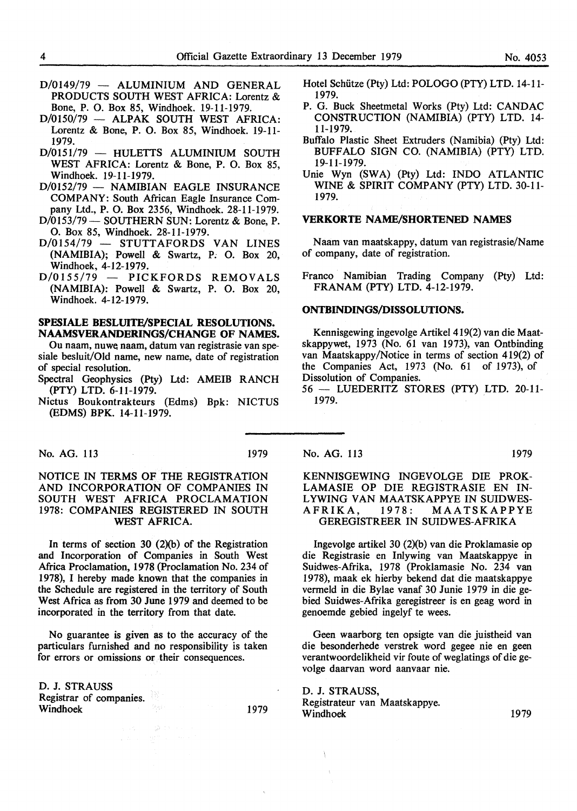- $D/0149/79$  ALUMINIUM AND GENERAL PRODUCTS SOUTH WEST AFRICA: Lorentz & Bone, P. 0. Box 85, Windhoek. 19-11-1979.
- $D/0150/79$  ALPAK SOUTH WEST AFRICA: Lorentz & Bone, P. O. Box 85, Windhoek. 19-11- 1979.
- D/0151/79 HULETTS ALUMINIUM SOUTH WEST AFRICA: Lorentz & Bone, P. 0. Box 85, Windhoek. 19-11-1979.
- D/0152/79 NAMIBIAN EAGLE INSURANCE COMPANY: South African Eagle Insurance Company Ltd., P. 0. Box 2356, Windhoek. 28-11-1979.
- D/0153/79 SOUTHERN SUN: Lorentz & Bone, P. 0. Box 85, Windhoek. 28-11-1979.
- D/0154/79 STUTTAFORDS VAN LINES  $(NAMIBIA)$ ; Powell & Swartz, P. O. Box 20, Windhoek, 4-12-1979.
- D/0155/79 PICKFORDS REMOVALS (NAMIBIA): Powell & Swartz, P. 0. Box 20, Windhoek. 4-12-1979.

#### **SPESIALE BESLUITE/SPECIAL RESOLUTIONS. NAAMSVERANDERINGS/CHANGE OF NAMES.**

Ou naam, nuwe naam, datum van registrasie van spesiale besluit/Old name, new name, date of registration of special resolution.

- Spectral Geophysics (Pty} Ltd: AMEIB RANCH **(PTY)** LTD. 6-11-1979.
- Nictus Boukontrakteurs (Edms) Bpk: NICTUS **(EDMS) BPK.** 14-11-1979.
- No. AG. 113 1979

#### NOTICE IN TERMS OF THE REGISTRATION AND INCORPORATION OF COMPANIES IN SOUTH WEST AFRICA PROCLAMATION 1978: COMPANIES REGISTERED IN SOUTH WEST AFRICA.

In terms of section 30 (2)(b) of the Registration and Incorporation of Companies in South West Africa Proclamation, 1978 (Proclamation No. 234 of 1978), I hereby made known that the companies in the Schedule are registered in the territory of South West Africa as from 30 June 1979 and deemed to be incorporated in the territory from that date.

No guarantee is given as to the accuracy of the particulars furnished and no responsibility is taken for errors or omissions or their consequences.

ings die se

 $\chi \rightarrow \xi \chi \gamma$  .

D. **J. STRAUSS**  Registrar of companies. Windhoek 1979

- Hotel Schutze (Pty) Ltd: POLOGO (PTY) LTD. 14-11- 1979.
- P. G. Buck Sheetmetal Works (Pty) Ltd: CANDAC CONSTRUCTION (NAMIBIA) (PTY) LTD. 14- 11-1979.
- Buffalo Plastic Sheet Extruders (Namibia) (Pty) Ltd: BUFFALO SIGN CO. (NAMIBIA) (PTY) LTD. 19-11-1979.
- Unie Wyn (SWA) (Pty) Ltd: INDO ATLANTIC WINE & SPIRIT COMPANY (PTY) LTD. 30-11- 1979.

#### **VERKORTE NAME/SHORTENED NAMES**

Naam van maatskappy, datum van registrasie/Name of company, date of registration.

Franco Namibian Trading Company (Pty) Ltd: FRANAM (PTY) LTD. 4-12-1979.

#### **ONTBINDINGS/DISSOLUTIONS.**

Kennisgewing ingevolge Artikel 419(2) van die Maatskappywet, 1973 (No. 61 van 1973), van Ontbinding van Maatskappy/Notice in terms of section 419(2) of the Companies Act, 1973 (No. 61 of 1973), of Dissolution of Companies.

*56* - LUEDERITZ STORES (PTY) LTD. 20-11- 1979.

#### No. AG. 113 1979

KENNISGEWING INGEVOLGE DIE PROK-

#### LAMASIE OP DIE REGISTRASIE EN IN-LYWING VAN MAATSKAPPYE IN SUIDWES-AFRIKA, 1978: MAATSKAPPYE GEREGISTREER IN SUIDWES-AFRIKA

Ingevolge artikel 30 (2)(b) van die Proklamasie op die Registrasie en Inlywing van Maatskappye in Suidwes-Afrika, 1978 (Proklamasie No. 234 van 1978), maak ek hierby bekend dat die maatskappye vermeld in die Bylae vanaf 30 Junie 1979 in die gebied Suidwes-Afrika geregistreer is en geag word in genoemde gebied ingelyf te wees.

Geen waarborg ten opsigte van die juistheid van die besonderhede verstrek word gegee nie en geen verantwoordelikheid vir foute of weglatings of die gevolge daarvan word aanvaar nie.

D. J. STRAUSS, Registrateur van Maatskappye. Windhoek 1979